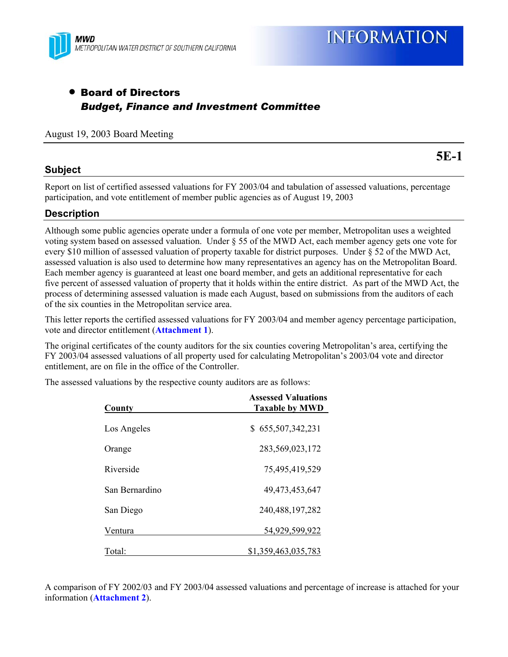

## • Board of Directors *Budget, Finance and Investment Committee*

#### August 19, 2003 Board Meeting

#### **Subject**

**5E-1** 

Report on list of certified assessed valuations for FY 2003/04 and tabulation of assessed valuations, percentage participation, and vote entitlement of member public agencies as of August 19, 2003

## **Description**

Although some public agencies operate under a formula of one vote per member, Metropolitan uses a weighted voting system based on assessed valuation. Under § 55 of the MWD Act, each member agency gets one vote for every \$10 million of assessed valuation of property taxable for district purposes. Under § 52 of the MWD Act, assessed valuation is also used to determine how many representatives an agency has on the Metropolitan Board. Each member agency is guaranteed at least one board member, and gets an additional representative for each five percent of assessed valuation of property that it holds within the entire district. As part of the MWD Act, the process of determining assessed valuation is made each August, based on submissions from the auditors of each of the six counties in the Metropolitan service area.

This letter reports the certified assessed valuations for FY 2003/04 and member agency percentage participation, vote and director entitlement (**Attachment 1**).

The original certificates of the county auditors for the six counties covering Metropolitan's area, certifying the FY 2003/04 assessed valuations of all property used for calculating Metropolitan's 2003/04 vote and director entitlement, are on file in the office of the Controller.

The assessed valuations by the respective county auditors are as follows:

| County         | <b>Assessed Valuations</b><br><b>Taxable by MWD</b> |  |  |  |
|----------------|-----------------------------------------------------|--|--|--|
| Los Angeles    | \$655,507,342,231                                   |  |  |  |
| Orange         | 283,569,023,172                                     |  |  |  |
| Riverside      | 75,495,419,529                                      |  |  |  |
| San Bernardino | 49,473,453,647                                      |  |  |  |
| San Diego      | 240, 488, 197, 282                                  |  |  |  |
| Ventura        | 54,929,599,922                                      |  |  |  |
| Total:         | \$1,359,463,035,783                                 |  |  |  |

A comparison of FY 2002/03 and FY 2003/04 assessed valuations and percentage of increase is attached for your information (**Attachment 2**).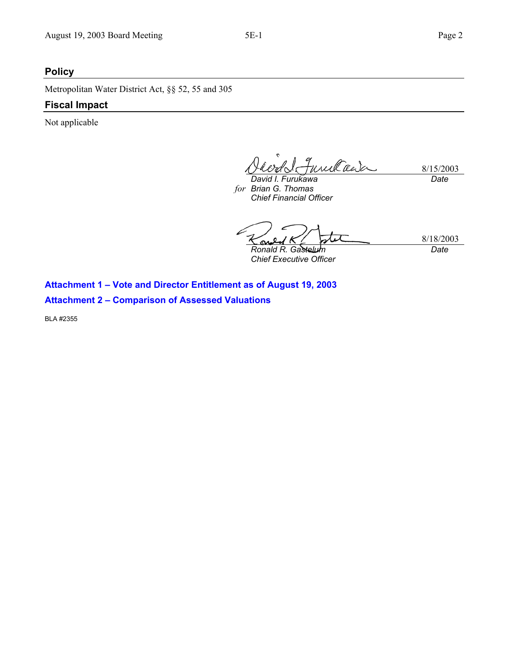## **Policy**

Metropolitan Water District Act, §§ 52, 55 and 305

#### **Fiscal Impact**

Not applicable

q<br>Funilada 8/15/2003 *Date* 

*David I. Furukawa Brian G. Thomas forChief Financial Officer* 

8/18/2003 *Ronald R. Gastelum Date* 

*Chief Executive Officer* 

**Attachment 1 – Vote and Director Entitlement as of August 19, 2003 Attachment 2 – Comparison of Assessed Valuations** 

BLA #2355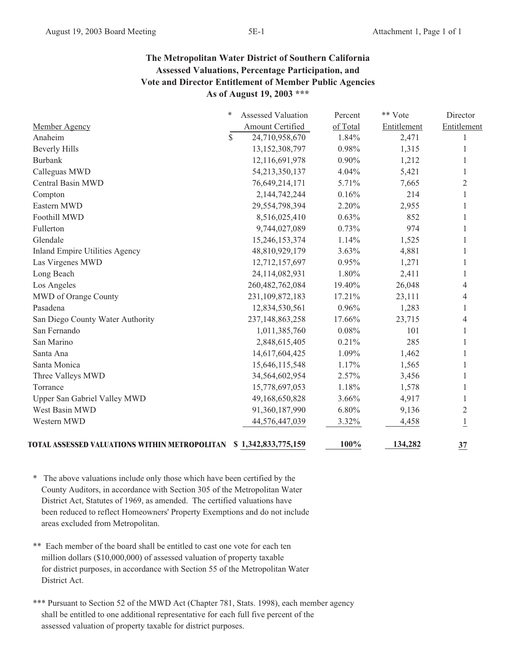## **The Metropolitan Water District of Southern California Assessed Valuations, Percentage Participation, and Vote and Director Entitlement of Member Public Agencies As of August 19, 2003 \*\*\***

|                                               | ∗  | Assessed Valuation  | Percent  | ** Vote     | Director       |
|-----------------------------------------------|----|---------------------|----------|-------------|----------------|
| Member Agency                                 |    | Amount Certified    | of Total | Entitlement | Entitlement    |
| Anaheim                                       | \$ | 24,710,958,670      | 1.84%    | 2,471       |                |
| <b>Beverly Hills</b>                          |    | 13,152,308,797      | 0.98%    | 1,315       |                |
| <b>Burbank</b>                                |    | 12,116,691,978      | $0.90\%$ | 1,212       |                |
| Calleguas MWD                                 |    | 54,213,350,137      | 4.04%    | 5,421       | 1              |
| Central Basin MWD                             |    | 76,649,214,171      | 5.71%    | 7,665       | 2              |
| Compton                                       |    | 2,144,742,244       | 0.16%    | 214         |                |
| Eastern MWD                                   |    | 29,554,798,394      | 2.20%    | 2,955       |                |
| Foothill MWD                                  |    | 8,516,025,410       | 0.63%    | 852         | 1              |
| Fullerton                                     |    | 9,744,027,089       | 0.73%    | 974         | 1              |
| Glendale                                      |    | 15,246,153,374      | 1.14%    | 1,525       |                |
| <b>Inland Empire Utilities Agency</b>         |    | 48,810,929,179      | $3.63\%$ | 4,881       |                |
| Las Virgenes MWD                              |    | 12,712,157,697      | 0.95%    | 1,271       |                |
| Long Beach                                    |    | 24,114,082,931      | 1.80%    | 2,411       |                |
| Los Angeles                                   |    | 260,482,762,084     | 19.40%   | 26,048      | 4              |
| MWD of Orange County                          |    | 231,109,872,183     | 17.21%   | 23,111      | 4              |
| Pasadena                                      |    | 12,834,530,561      | 0.96%    | 1,283       |                |
| San Diego County Water Authority              |    | 237, 148, 863, 258  | 17.66%   | 23,715      |                |
| San Fernando                                  |    | 1,011,385,760       | 0.08%    | 101         |                |
| San Marino                                    |    | 2,848,615,405       | 0.21%    | 285         |                |
| Santa Ana                                     |    | 14,617,604,425      | 1.09%    | 1,462       |                |
| Santa Monica                                  |    | 15,646,115,548      | 1.17%    | 1,565       | 1              |
| Three Valleys MWD                             |    | 34,564,602,954      | 2.57%    | 3,456       |                |
| Torrance                                      |    | 15,778,697,053      | 1.18%    | 1,578       |                |
| Upper San Gabriel Valley MWD                  |    | 49,168,650,828      | 3.66%    | 4,917       |                |
| West Basin MWD                                |    | 91,360,187,990      | 6.80%    | 9,136       | $\overline{2}$ |
| Western MWD                                   |    | 44,576,447,039      | 3.32%    | 4,458       | 1              |
| TOTAL ASSESSED VALUATIONS WITHIN METROPOLITAN |    | \$1,342,833,775,159 | 100%     | 134,282     | 37             |

\* The above valuations include only those which have been certified by the County Auditors, in accordance with Section 305 of the Metropolitan Water District Act, Statutes of 1969, as amended. The certified valuations have been reduced to reflect Homeowners' Property Exemptions and do not include areas excluded from Metropolitan.

\*\* Each member of the board shall be entitled to cast one vote for each ten million dollars (\$10,000,000) of assessed valuation of property taxable for district purposes, in accordance with Section 55 of the Metropolitan Water District Act.

\*\*\* Pursuant to Section 52 of the MWD Act (Chapter 781, Stats. 1998), each member agency shall be entitled to one additional representative for each full five percent of the assessed valuation of property taxable for district purposes.